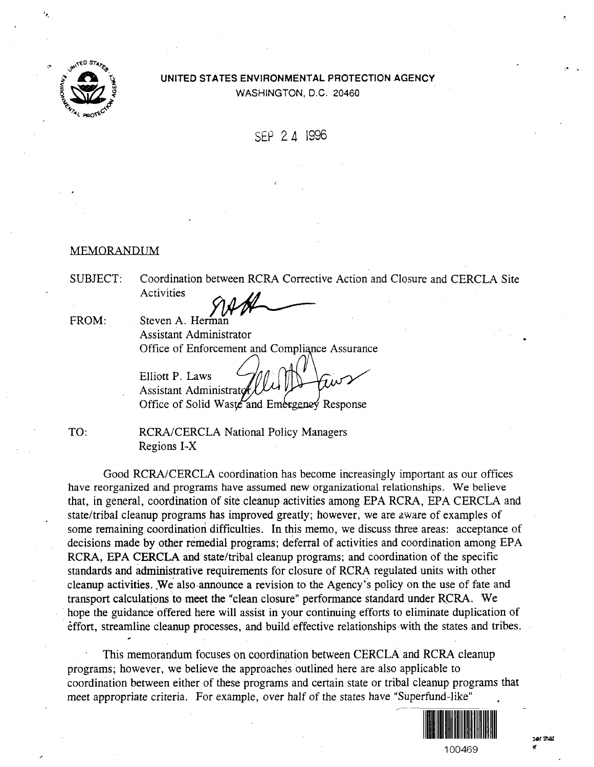

# UNITED STATES ENVIRONMENTAL PROTECTION AGENCY WASHINGTON, D.C. 20460

SEP 24 1996

## MEMORANDUM

SUBJECT: Coordination between RCRA Corrective Action and Closure and CERCLA Site **Activities** 

FROM: Steven A. Herman Assistant Administrator Office of Enforcement and Compliance Assurance

Elliott P. Laws Assistant Administrator Office of Solid Waste and Emergency Response

TO: RCRA/CERCLA National Policy Managers Regions I-X

Good RCRA/CERCLA coordination has become increasingly important as our offices have reorganized and programs have assumed new organizational relationships. We believe that, in general, coordination of site cleanup activities among EPA RCRA, EPA CERCLA and state/tribal cleanup programs has improved greatly; however, we are aware of examples of some remaining coordination difficulties. In this memo, we discuss three areas: acceptance of decisions made by other remedial programs; deferral of activities and coordination among EPA RCRA, EPA CERCLA and state/tribal cleanup programs; and coordination of the specific standards and administrative requirements for closure of RCRA regulated units with other cleanup activities.,We also announce a revision to the Agency's policy on the use of fate and transport calculations to meet the "clean closure" performance standard under RCRA. We hope the guidance offered here will assist in your continuing efforts to eliminate duplication of effort, streamline cleanup processes, and build effective relationships with the states and tribes.

This memorandum focuses on coordination between CERCLA and RCRA cleanup programs; however, we believe the approaches outlined here are also applicable to coordination between either of these programs and certain state or tribal cleanup programs that meet appropriate criteria. For example, over half of the states have "Superfund-like"

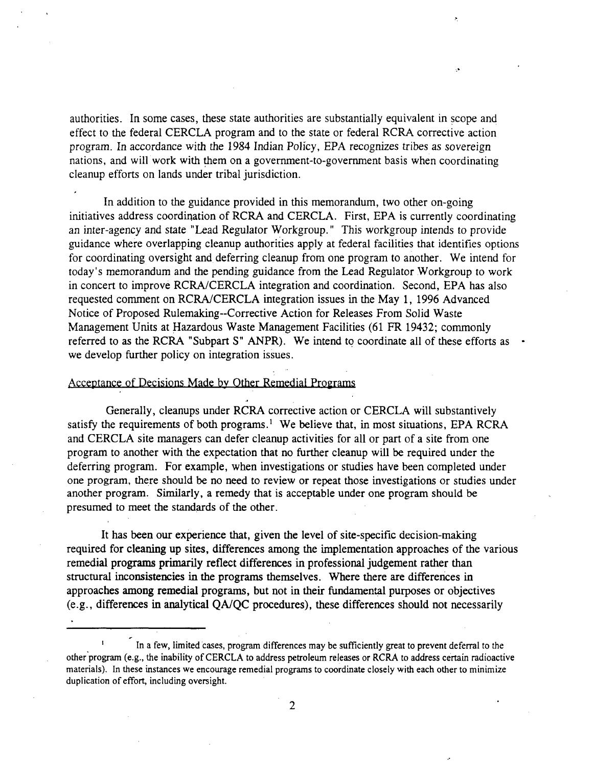authorities. In some cases, these state authorities are substantially equivalent in scope and effect to the federal CERCLA program and to the state or federal RCRA corrective action program. In accordance with the 1984 Indian Policy, EPA recognizes tribes as sovereign nations, and will work with them on a government-to-government basis when coordinating cleanup efforts on lands under tribal jurisdiction.

In addition to the guidance provided in this memorandum, two other on-going initiatives address coordination of RCRA and CERCLA. First, EPA is currently coordinating an inter-agency and state "Lead Regulator Workgroup." This workgroup intends to provide guidance where overlapping cleanup authorities apply at federal facilities that identifies options for coordinating oversight and deferring cleanup from one program to another. We intend for today's memorandum and the pending guidance from the Lead Regulator Workgroup to work in concert to improve RCRA/CERCLA integration and coordination. Second, EPA has also requested comment on RCRA/CERCLA integration issues in the May 1, 1996 Advanced Notice of Proposed Rulemaking~Corrective Action for Releases From Solid Waste Management Units at Hazardous Waste Management Facilities (61 FR 19432; commonly referred to as the RCRA "Subpart S" ANPR). We intend to coordinate all of these efforts as • we develop further policy on integration issues.

## Acceptance of Decisions Made by Other Remedial Programs

.1

Generally, cleanups under RCRA corrective action or CERCLA will substantively satisfy the requirements of both programs.<sup>1</sup> We believe that, in most situations, EPA RCRA and CERCLA site managers can defer cleanup activities for all or part of a site from one program to another with the expectation that no further cleanup will be required under the deferring program. For example, when investigations or studies have been completed under one program, there should be no need to review or repeat those investigations or studies under another program. Similarly, a remedy that is acceptable under one program should be presumed to meet the standards of the other.

It has been our experience that, given the level of site-specific decision-making required for cleaning up sites, differences among the implementation approaches of the various remedial programs primarily reflect differences in professional judgement rather than structural inconsistencies in the programs themselves. Where there are differences in approaches among remedial programs, but not in their fundamental purposes or objectives (e.g., differences in analytical QA/QC procedures), these differences should not necessarily

<sup>1</sup> In a few, limited cases, program differences may be sufficiently great to prevent deferral to the other program (e.g., the inability of CERCLA to address petroleum releases or RCRA to address certain radioactive materials). In these instances we encourage remedial programs to coordinate closely with each other to minimize duplication of effort, including oversight.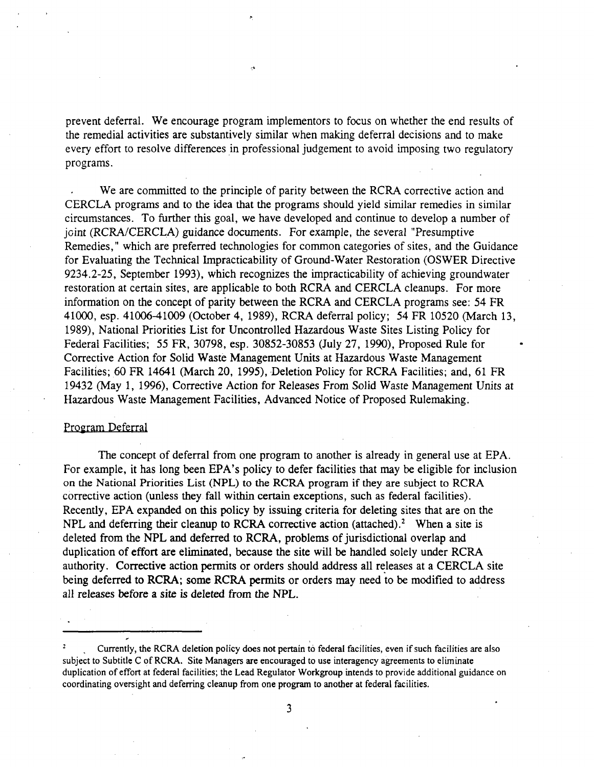prevent deferral. We encourage program implementors to focus on whether the end results of the remedial activities are substantively similar when making deferral decisions and to make every effort to resolve differences in professional judgement to avoid imposing two regulatory programs.

We are committed to the principle of parity between the RCRA corrective action and CERCLA programs and to the idea that the programs should yield similar remedies in similar circumstances. To further this goal, we have developed and continue to develop a number of joint (RCRA/CERCLA) guidance documents. For example, the several "Presumptive Remedies," which are preferred technologies for common categories of sites, and the Guidance for Evaluating the Technical Impracticability of Ground-Water Restoration (OSWER Directive 9234.2-25, September 1993), which recognizes the impracticability of achieving groundwater restoration at certain sites, are applicable to both RCRA and CERCLA cleanups. For more information on the concept of parity between the RCRA and CERCLA programs see: 54 FR 41000, esp. 41006-41009 (October 4, 1989), RCRA deferral policy; 54 FR 10520 (March 13, 1989), National Priorities List for Uncontrolled Hazardous Waste Sites Listing Policy for Federal Facilities; 55 FR, 30798, esp. 30852-30853 (July 27, 1990), Proposed Rule for Corrective Action for Solid Waste Management Units at Hazardous Waste Management Facilities; 60 FR 14641 (March 20, 1995), Deletion Policy for RCRA Facilities; and, 61 FR 19432 (May 1, 1996), Corrective Action for Releases From Solid Waste Management Units at Hazardous Waste Management Facilities, Advanced Notice of Proposed Rulemaking.

## Program Deferral

The concept of deferral from one program to another is already in general use at EPA. For example, it has long been EPA's policy to defer facilities that may be eligible for inclusion on the National Priorities List (NPL) to the RCRA program if they are subject to RCRA corrective action (unless they fall within certain exceptions, such as federal facilities). Recently, EPA expanded on this policy by issuing criteria for deleting sites that are on the NPL and deferring their cleanup to RCRA corrective action (attached).<sup>2</sup> When a site is deleted from the NPL and deferred to RCRA, problems of jurisdictional overlap and duplication of effort are eliminated, because the site will be handled solely under RCRA authority. Corrective action permits or orders should address all releases at a CERCLA site being deferred to RCRA; some RCRA permits or orders may need to be modified to address all releases before a site is deleted from the NPL.

<sup>2</sup> Currently, the RCRA deletion policy does not pertain to federal facilities, even if such facilities are also subject to Subtitle C of RCRA. Site Managers are encouraged to use interagency agreements to eliminate duplication of effort at federal facilities; the Lead Regulator Workgroup intends to provide additional guidance on coordinating oversight and deferring cleanup from one program to another at federal facilities.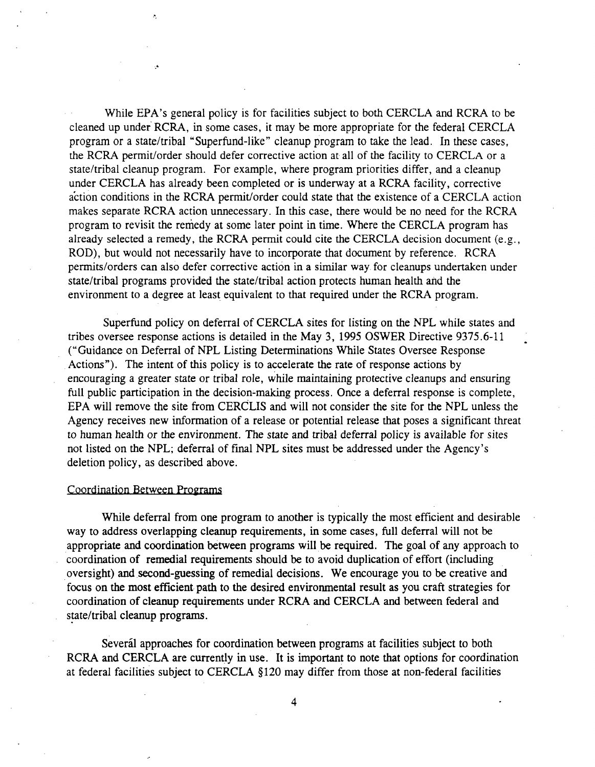While EPA's general policy is for facilities subject to both CERCLA and RCRA to be cleaned up under RCRA, in some cases, it may be more appropriate for the federal CERCLA program or a state/tribal "Superfund-like" cleanup program to take the lead. In these cases, the RCRA permit/order should defer corrective action at all of the facility to CERCLA or a state/tribal cleanup program. For example, where program priorities differ, and a cleanup under CERCLA has already been completed or is underway at a RCRA facility, corrective action conditions in the RCRA permit/order could state that the existence of a CERCLA action makes separate RCRA action unnecessary. In this case, there would be no need for the RCRA program to revisit the remedy at some later point in time. Where the CERCLA program has already selected a remedy, the RCRA permit could cite the CERCLA decision document (e.g., ROD), but would not necessarily have to incorporate that document by reference. RCRA permits/orders can also defer corrective action in a similar way for cleanups undertaken under state/tribal programs provided the state/tribal action protects human health and the environment to a degree at least equivalent to that required under the RCRA program.

Superfund policy on deferral of CERCLA sites for listing on the NPL while states and tribes oversee response actions is detailed in the May 3, 1995 OSWER Directive 9375.6-11 ("Guidance on Deferral of NPL Listing Determinations While States Oversee Response Actions"). The intent of this policy is to accelerate the rate of response actions by encouraging a greater state or tribal role, while maintaining protective cleanups and ensuring full public participation in the decision-making process. Once a deferral response is complete, EPA will remove the site from CERCLIS and will not consider the site for the NPL unless the Agency receives new information of a release or potential release that poses a significant threat to human health or the environment. The state and tribal deferral policy is available for sites not listed on the NPL; deferral of final NPL sites must be addressed under the Agency's deletion policy, as described above.

#### Coordination Between Programs

While deferral from one program to another is typically the most efficient and desirable way to address overlapping cleanup requirements, in some cases, full deferral will not be appropriate and coordination between programs will be required. The goal of any approach to coordination of remedial requirements should be to avoid duplication of effort (including oversight) and second-guessing of remedial decisions. We encourage you to be creative and focus on the most efficient path to the desired environmental result as you craft strategies for coordination of cleanup requirements under RCRA and CERCLA and between federal and state/tribal cleanup programs.

Severál approaches for coordination between programs at facilities subject to both RCRA and CERCLA are currently in use. It is important to note that options for coordination at federal facilities subject to CERCLA §120 may differ from those at non-federal facilities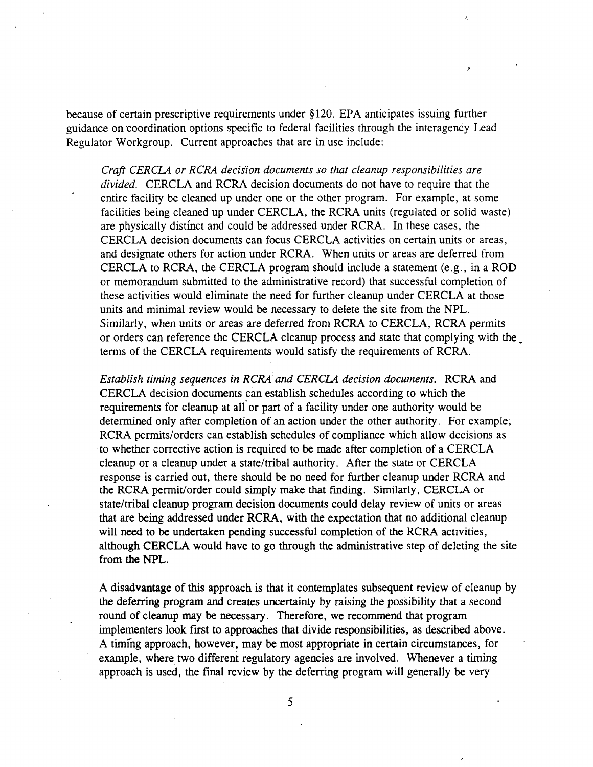because of certain prescriptive requirements under §120. EPA anticipates issuing further guidance on coordination options specific to federal facilities through the interagency Lead Regulator Workgroup. Current approaches that are in use include:

Craft CERCLA or RCRA decision documents so that cleanup responsibilities are divided. CERCLA and RCRA decision documents do not have to require that the entire facility be cleaned up under one or the other program. For example, at some facilities being cleaned up under CERCLA, the RCRA units (regulated or solid waste) are physically distinct and could be addressed under RCRA. In these cases, the CERCLA decision documents can focus CERCLA activities on certain units or areas, and designate others for action under RCRA. When units or areas are deferred from CERCLA to RCRA, the CERCLA program should include a statement (e.g., in a ROD or memorandum submitted to the administrative record) that successful completion of these activities would eliminate the need for further cleanup under CERCLA at those units and minimal review would be necessary to delete the site from the NPL. Similarly, when units or areas are deferred from RCRA to CERCLA, RCRA permits or orders can reference the CERCLA cleanup process and state that complying with the, terms of the CERCLA requirements would satisfy the requirements of RCRA.

Establish timing sequences in RCRA and CERCLA decision documents. RCRA and CERCLA decision documents can establish schedules according to which the requirements for cleanup at all or part of a facility under one authority would be determined only after completion of an action under the other authority. For example, RCRA permits/orders can establish schedules of compliance which allow decisions as to whether corrective action is required to be made after completion of a CERCLA cleanup or a cleanup under a state/tribal authority. After the state or CERCLA response is carried out, there should be no need for further cleanup under RCRA and the RCRA permit/order could simply make that finding. Similarly, CERCLA or state/tribal cleanup program decision documents could delay review of units or areas that are being addressed under RCRA, with the expectation that no additional cleanup will need to be undertaken pending successful completion of the RCRA activities, although CERCLA would have to go through the administrative step of deleting the site from the NPL.

A disadvantage of this approach is that it contemplates subsequent review of cleanup by the deferring program and creates uncertainty by raising the possibility that a second round of cleanup may be necessary. Therefore, we recommend that program implementers look first to approaches that divide responsibilities, as described above. A timing approach, however, may be most appropriate in certain circumstances, for example, where two different regulatory agencies are involved. Whenever a timing approach is used, the final review by the deferring program will generally be very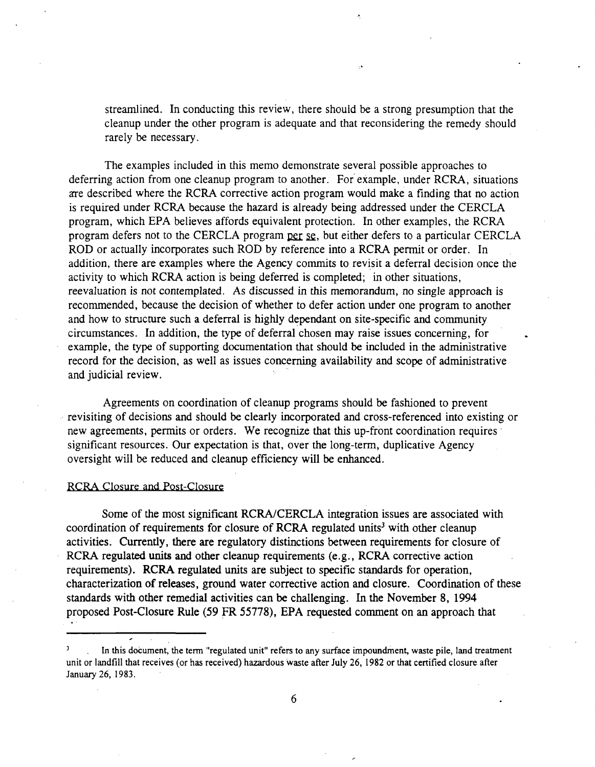streamlined. In conducting this review, there should be a strong presumption that the cleanup under the other program is adequate and that reconsidering the remedy should rarely be necessary.

The examples included in this memo demonstrate several possible approaches to deferring action from one cleanup program to another. For example, under RCRA, situations are described where the RCRA corrective action program would make a finding that no action is required under RCRA because the hazard is already being addressed under the CERCLA program, which EPA believes affords equivalent protection. In other examples, the RCRA program defers not to the CERCLA program per se, but either defers to a particular CERCLA ROD or actually incorporates such ROD by reference into a RCRA permit or order. In addition, there are examples where the Agency commits to revisit a deferral decision once the activity to which RCRA action is being deferred is completed; in other situations, reevaluation is not contemplated. As discussed in this memorandum, no single approach is recommended, because the decision of whether to defer action under one program to another and how to structure such a deferral is highly dependant on site-specific and community circumstances. In addition, the type of deferral chosen may raise issues concerning, for example, the type of supporting documentation that should be included in the administrative record for the decision, as well as issues concerning availability and scope of administrative and judicial review.

Agreements on coordination of cleanup programs should be fashioned to prevent revisiting of decisions and should be clearly incorporated and cross-referenced into existing or new agreements, permits or orders. We recognize that this up-front coordination requires significant resources. Our expectation is that, over the long-term, duplicative Agency oversight will be reduced and cleanup efficiency will be enhanced.

#### RCRA Closure and Post-Closure

Some of the most significant RCRA/CERCLA integration issues are associated with coordination of requirements for closure of RCRA regulated units<sup>3</sup> with other cleanup activities. Currently, there are regulatory distinctions between requirements for closure of RCRA regulated units and other cleanup requirements (e.g., RCRA corrective action requirements). RCRA regulated units are subject to specific standards for operation, characterization of releases, ground water corrective action and closure. Coordination of these standards with other remedial activities can be challenging. In the November 8, 1994 proposed Post-Closure Rule (59 FR 55778), EPA requested comment on an approach that

<sup>3</sup> . In this document, the term "regulated unit" refers to any surface impoundment, waste pile, land treatment unit or landfill that receives (or has received) hazardous waste after July 26, 1982 or that certified closure after January 26, 1983.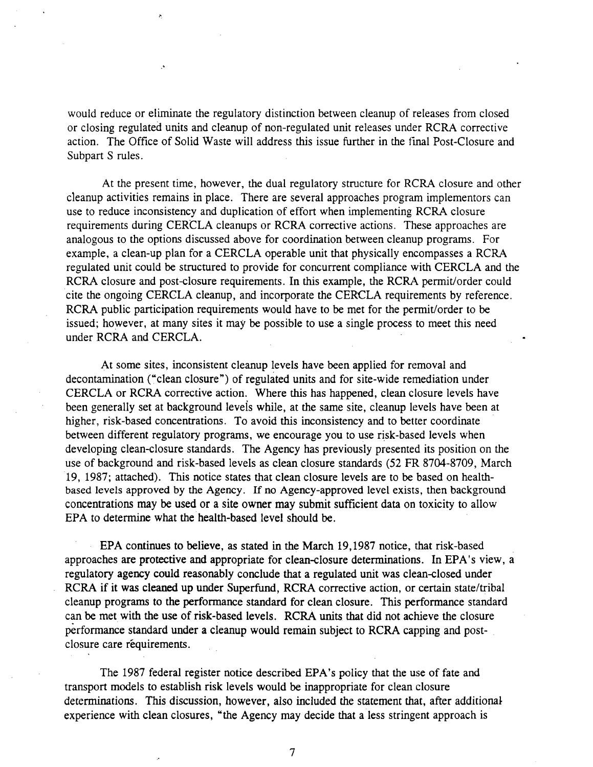would reduce or eliminate the regulatory distinction between cleanup of releases from closed or closing regulated units and cleanup of non-regulated unit releases under RCRA corrective action. The Office of Solid Waste will address this issue further in the final Post-Closure and Subpart S rules.

At the present time, however, the dual regulatory structure for RCRA closure and other cleanup activities remains in place. There are several approaches program implementors can use to reduce inconsistency and duplication of effort when implementing RCRA closure requirements during CERCLA cleanups or RCRA corrective actions. These approaches are analogous to the options discussed above for coordination between cleanup programs. For example, a clean-up plan for a CERCLA operable unit that physically encompasses a RCRA regulated unit could be structured to provide for concurrent compliance with CERCLA and the RCRA closure and post-closure requirements. In this example, the RCRA permit/order could cite the ongoing CERCLA cleanup, and incorporate the CERCLA requirements by reference. RCRA public participation requirements would have to be met for the permit/order to be issued; however, at many sites it may be possible to use a single process to meet this need under RCRA and CERCLA.

At some sites, inconsistent cleanup levels have been applied for removal and decontamination ("clean closure") of regulated units and for site-wide remediation under CERCLA or RCRA corrective action. Where this has happened, clean closure levels have been generally set at background levels while, at the same site, cleanup levels have been at higher, risk-based concentrations. To avoid this inconsistency and to better coordinate between different regulatory programs, we encourage you to use risk-based levels when developing clean-closure standards. The Agency has previously presented its position on the use of background and risk-based levels as clean closure standards (52 FR 8704-8709, March 19, 1987; attached). This notice states that clean closure levels are to be based on healthbased levels approved by the Agency. If no Agency-approved level exists, then background concentrations may be used or a site owner may submit sufficient data on toxicity to allow EPA to determine what the health-based level should be.

EPA continues to believe, as stated in the March 19,1987 notice, that risk-based approaches are protective and appropriate for clean-closure determinations. In EPA's view, a regulatory agency could reasonably conclude that a regulated unit was clean-closed under RCRA if it was cleaned up under Superfund, RCRA corrective action, or certain state/tribal cleanup programs to the performance standard for clean closure. This performance standard can be met with the use of risk-based levels. RCRA units that did not achieve the closure performance standard under a cleanup would remain subject to RCRA capping and postclosure care réquirements.

The 1987 federal register notice described EPA's policy that the use of fate and transport models to establish risk levels would be inappropriate for clean closure determinations. This discussion, however, also included the statement that, after additional experience with clean closures, "the Agency may decide that a less stringent approach is

 $\overline{7}$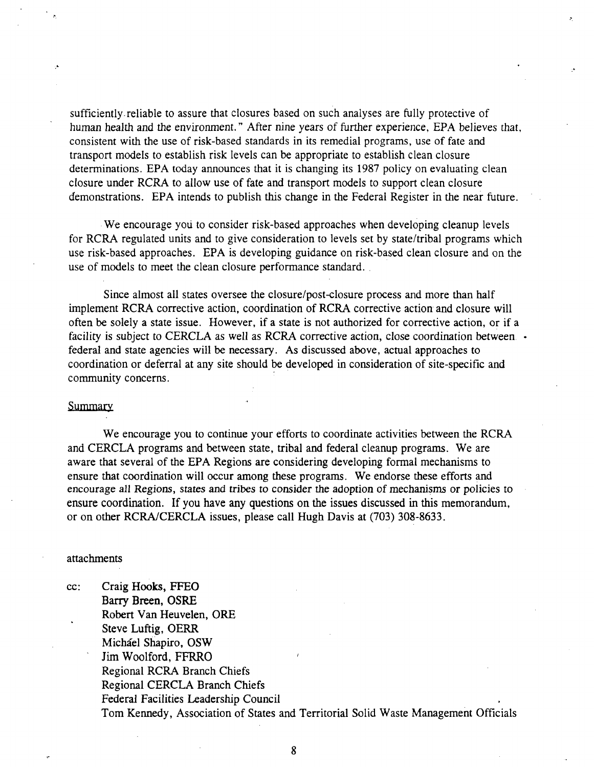sufficiently.reliable to assure that closures based on such analyses are fully protective of human health and the environment." After nine years of further experience, EPA believes that, consistent with the use of risk-based standards in its remedial programs, use of fate and transport models to establish risk levels can be appropriate to establish clean closure determinations. EPA today announces that it is changing its 1987 policy on evaluating clean closure under RCRA to allow use of fate and transport models to support clean closure demonstrations. EPA intends to publish this change in the Federal Register in the near future.

We encourage you to consider risk-based approaches when developing cleanup levels for RCRA regulated units and to give consideration to levels set by state/tribal programs which use risk-based approaches. EPA is developing guidance on risk-based clean closure and on the use of models to meet the clean closure performance standard.

Since almost all states oversee the closure/post-closure process and more than half implement RCRA corrective action, coordination of RCRA corrective action and closure will often be solely a state issue. However, if a state is not authorized for corrective action, or if a facility is subject to CERCLA as well as RCRA corrective action, close coordination between • federal and state agencies will be necessary. As discussed above, actual approaches to coordination or deferral at any site should be developed in consideration of site-specific and community concerns.

## **Summary**

We encourage you to continue your efforts to coordinate activities between the RCRA and CERCLA programs and between state, tribal and federal cleanup programs. We are aware that several of the EPA Regions are considering developing formal mechanisms to ensure that coordination will occur among these programs. We endorse these efforts and encourage all Regions, states and tribes to consider the adoption of mechanisms or policies to ensure coordination. If you have any questions on the issues discussed in this memorandum, or on other RCRA/CERCLA issues, please call Hugh Davis at (703) 308-8633.

#### attachments

cc: Craig Hooks, FFEO Barry Breen, OSRE Robert Van Heuvelen, ORE Steve Luftig, OERR Michael Shapiro, OSW Jim Woolford, FFRRO Regional RCRA Branch Chiefs Regional CERCLA Branch Chiefs Federal Facilities Leadership Council Tom Kennedy, Association of States and Territorial Solid Waste Management Officials